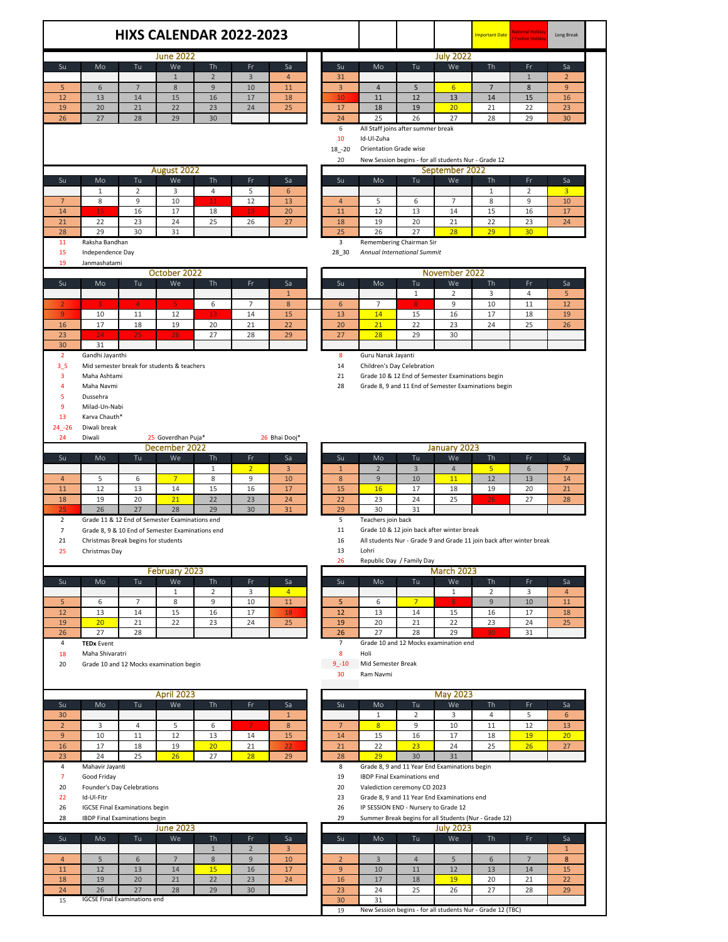|                                  |                                       |                                           |                                                  | <b>HIXS CALENDAR 2022-2023</b> |                     |                |                      |                        |                                                                                |                        | <b>Important Date</b> | <b>National Holida</b><br><b>Festive Holida</b>                      | Long Break        |  |
|----------------------------------|---------------------------------------|-------------------------------------------|--------------------------------------------------|--------------------------------|---------------------|----------------|----------------------|------------------------|--------------------------------------------------------------------------------|------------------------|-----------------------|----------------------------------------------------------------------|-------------------|--|
|                                  |                                       |                                           |                                                  |                                |                     |                |                      |                        |                                                                                |                        |                       |                                                                      |                   |  |
| Su                               | Mo                                    | Tu                                        | <b>June 2022</b><br>We                           | Th                             | Fr.                 | Sa             | Su                   | Mo                     | Tu                                                                             | <b>July 2022</b><br>We | Th                    | Fr                                                                   | Sa                |  |
|                                  |                                       |                                           | $\mathbf{1}$                                     | $\overline{2}$                 | 3                   | $\overline{4}$ | 31                   |                        |                                                                                |                        |                       | $\mathbf{1}$                                                         | $\overline{2}$    |  |
| 5                                | 6                                     | $\overline{7}$                            | 8                                                | $\overline{9}$                 | 10                  | 11             | $\overline{3}$       | $\overline{4}$         | 5                                                                              | $6 \overline{6}$       | $\overline{7}$        | 8                                                                    | $\overline{9}$    |  |
| 12                               | 13                                    | 14                                        | 15                                               | 16                             | 17                  | 18             | 10                   | 11                     | 12                                                                             | 13                     | 14                    | 15                                                                   | 16                |  |
| 19                               | 20                                    | 21                                        | 22                                               | 23                             | 24                  | 25             | 17                   | 18                     | 19                                                                             | 20                     | 21                    | 22                                                                   | 23                |  |
| 26                               | 27                                    | 28                                        | 29                                               | 30                             |                     |                | 24                   | 25                     | 26                                                                             | 27                     | 28                    | 29                                                                   | 30                |  |
|                                  |                                       |                                           |                                                  |                                |                     |                | 6                    |                        | All Staff joins after summer break                                             |                        |                       |                                                                      |                   |  |
|                                  |                                       |                                           |                                                  |                                |                     |                | 10                   | Id-Ul-Zuha             |                                                                                |                        |                       |                                                                      |                   |  |
|                                  |                                       |                                           |                                                  |                                |                     |                | $18 - 20$            | Orientation Grade wise |                                                                                |                        |                       |                                                                      |                   |  |
|                                  |                                       |                                           |                                                  |                                |                     |                | 20                   |                        | New Session begins - for all students Nur - Grade 12                           |                        |                       |                                                                      |                   |  |
|                                  |                                       |                                           | August 2022                                      |                                |                     |                |                      |                        |                                                                                | September 2022         |                       |                                                                      |                   |  |
| Su                               | Mo                                    | Tu                                        | We                                               | Th                             | Fr                  | Sa             | Su                   | Mo                     | Tu                                                                             | We                     | Th                    | Fr                                                                   | Sa                |  |
|                                  | 1                                     | 2<br>9                                    | 3<br>10                                          | 4                              | 5                   | 6<br>13        |                      | 5                      |                                                                                | $\overline{7}$         | 1<br>8                | 2<br>9                                                               | 3<br>10           |  |
| $\overline{7}$<br>14             | 8<br>15                               | 16                                        | 17                                               | 11<br>18                       | 12<br>19            | 20             | $\overline{4}$<br>11 | 12                     | 6<br>13                                                                        | 14                     | 15                    | 16                                                                   | 17                |  |
| 21                               | 22                                    | 23                                        | 24                                               | 25                             | 26                  | 27             | 18                   | 19                     | 20                                                                             | 21                     | 22                    | 23                                                                   | 24                |  |
| 28                               | 29                                    | 30                                        | 31                                               |                                |                     |                | 25                   | 26                     | 27                                                                             | 28                     | 29                    | 30                                                                   |                   |  |
| 11                               | Raksha Bandhan                        |                                           |                                                  |                                |                     |                | 3                    |                        | Remembering Chairman Sir                                                       |                        |                       |                                                                      |                   |  |
| 15                               | Independence Day                      |                                           |                                                  |                                |                     |                | 28_30                |                        | Annual International Summit                                                    |                        |                       |                                                                      |                   |  |
| 19                               | Janmashatami                          |                                           |                                                  |                                |                     |                |                      |                        |                                                                                |                        |                       |                                                                      |                   |  |
|                                  | October 2022                          |                                           |                                                  |                                |                     |                |                      | November 2022          |                                                                                |                        |                       |                                                                      |                   |  |
| Su                               | Mo                                    | Tu.                                       | We                                               | <b>Th</b>                      | Fr                  | Sa             | Su                   | Mo                     | Tu                                                                             | We                     | Th                    | Fr                                                                   | Sa                |  |
|                                  |                                       |                                           |                                                  |                                |                     | $\mathbf{1}$   |                      |                        | $\mathbf{1}$                                                                   | 2                      | 3                     | 4                                                                    | 5                 |  |
| $\overline{2}$                   |                                       | $\overline{4}$                            |                                                  | 6                              | 7                   | 8              | 6                    | $\overline{7}$         |                                                                                | 9                      | 10                    | 11                                                                   | 12                |  |
| $\overline{9}$                   | 10                                    | 11                                        | 12                                               | 13                             | 14                  | 15             | 13                   | 14                     | 15                                                                             | 16                     | 17                    | 18                                                                   | 19                |  |
| 16                               | 17                                    | 18                                        | 19                                               | 20                             | 21                  | 22             | 20                   | 21                     | 22                                                                             | 23                     | 24                    | 25                                                                   | 26                |  |
| 23                               | 24                                    | 25                                        | 26                                               | 27                             | 28                  | 29             | 27                   | 28                     | 29                                                                             | 30                     |                       |                                                                      |                   |  |
| 30                               | 31                                    |                                           |                                                  |                                |                     |                |                      |                        |                                                                                |                        |                       |                                                                      |                   |  |
| $\overline{2}$                   | Gandhi Jayanthi                       |                                           |                                                  |                                |                     |                | 8                    | Guru Nanak Jayanti     |                                                                                |                        |                       |                                                                      |                   |  |
| 3 <sub>5</sub><br>3              | Maha Ashtami                          |                                           | Mid semester break for students & teachers       |                                |                     |                | 14<br>21             |                        | Children's Day Celebration<br>Grade 10 & 12 End of Semester Examinations begin |                        |                       |                                                                      |                   |  |
| 4                                | Maha Navmi                            |                                           |                                                  |                                |                     |                | 28                   |                        | Grade 8, 9 and 11 End of Semester Examinations begin                           |                        |                       |                                                                      |                   |  |
| 5                                | Dussehra                              |                                           |                                                  |                                |                     |                |                      |                        |                                                                                |                        |                       |                                                                      |                   |  |
| 9                                | Milad-Un-Nabi                         |                                           |                                                  |                                |                     |                |                      |                        |                                                                                |                        |                       |                                                                      |                   |  |
| 13                               | Karva Chauth*                         |                                           |                                                  |                                |                     |                |                      |                        |                                                                                |                        |                       |                                                                      |                   |  |
| $24 - 26$                        | Diwali break                          |                                           |                                                  |                                |                     |                |                      |                        |                                                                                |                        |                       |                                                                      |                   |  |
| 24                               | Diwali                                |                                           | 25 Goverdhan Puja*                               |                                |                     | 26 Bhai Dooj*  |                      |                        |                                                                                |                        |                       |                                                                      |                   |  |
|                                  |                                       |                                           | December 2022                                    |                                |                     |                |                      |                        |                                                                                | January 2023           |                       |                                                                      |                   |  |
| Su                               | Mo                                    | Tu                                        | We                                               | Th                             | Fr.                 | Sa             | Su                   | Mo                     | Tu                                                                             | We                     | Th                    | Fr                                                                   | Sa                |  |
|                                  |                                       |                                           |                                                  | $\mathbf{1}$                   | $\overline{2}$      | 3              | $\mathbf{1}$         | $\overline{2}$         | $\overline{3}$                                                                 | $\overline{4}$         | 5                     | 6                                                                    | 7                 |  |
| $\overline{4}$                   | 5                                     | 6                                         | $\overline{7}$                                   | 8                              | 9                   | 10             | 8                    | 9                      | 10                                                                             | 11                     | 12                    | 13                                                                   | 14                |  |
| 11                               | 12                                    | 13                                        | 14                                               | 15                             | 16                  | 17             | 15                   | 16                     | 17                                                                             | 18                     | 19                    | 20                                                                   | 21                |  |
| 18                               | 19                                    | 20                                        | 21                                               | 22                             | 23                  | 24             | 22                   | 23                     | 24                                                                             | 25                     | 26                    | 27                                                                   | 28                |  |
| 25                               | 26                                    | 27                                        | 28                                               | 29                             | 30                  | 31             | 29                   | 30                     | 31                                                                             |                        |                       |                                                                      |                   |  |
| $\overline{2}$<br>$\overline{7}$ |                                       |                                           | Grade 11 & 12 End of Semester Examinations end   |                                |                     |                | 5<br>11              | Teachers join back     | Grade 10 & 12 join back after winter break                                     |                        |                       |                                                                      |                   |  |
| 21                               |                                       | Christmas Break begins for students       | Grade 8, 9 & 10 End of Semester Examinations end |                                |                     |                | 16                   |                        |                                                                                |                        |                       | All students Nur - Grade 9 and Grade 11 join back after winter break |                   |  |
| 25                               | Christmas Day                         |                                           |                                                  |                                |                     |                | 13                   | Lohri                  |                                                                                |                        |                       |                                                                      |                   |  |
|                                  |                                       |                                           |                                                  |                                |                     |                | 26                   |                        | Republic Day / Family Day                                                      |                        |                       |                                                                      |                   |  |
|                                  |                                       |                                           | February 2023                                    |                                |                     |                | <b>March 2023</b>    |                        |                                                                                |                        |                       |                                                                      |                   |  |
| Su                               | Mo                                    | Tu                                        | We                                               | Th                             |                     |                |                      |                        |                                                                                |                        |                       |                                                                      |                   |  |
|                                  |                                       |                                           |                                                  |                                | Fr.                 | Sa             | Su                   | Mo                     | Tu                                                                             | We                     | Th                    | Fr                                                                   | Sa                |  |
|                                  |                                       |                                           | $\mathbf{1}$                                     | $\overline{2}$                 | 3                   | $\overline{4}$ |                      |                        |                                                                                | $\mathbf{1}$           | $\overline{2}$        | 3                                                                    | 4                 |  |
| 5                                | 6                                     | $\overline{7}$                            | 8                                                | 9                              | 10                  | $11\,$         | 5                    | 6                      | $7\overline{ }$                                                                | 8 <sup>°</sup>         | 9                     | 10                                                                   | 11                |  |
| 12                               | 13                                    | 14                                        | 15                                               | 16                             | 17                  | 18             | 12                   | 13                     | 14                                                                             | 15                     | 16                    | 17                                                                   | 18                |  |
| 19                               | 20 <sub>2</sub>                       | 21                                        | 22                                               | 23                             | 24                  | 25             | 19                   | 20                     | 21                                                                             | 22                     | 23                    | 24                                                                   | 25                |  |
| 26                               | 27                                    | 28                                        |                                                  |                                |                     |                | 26                   | 27                     | 28                                                                             | 29                     |                       | 31                                                                   |                   |  |
| $\overline{a}$                   | <b>TEDx Event</b>                     |                                           |                                                  |                                |                     |                | $\overline{7}$       |                        | Grade 10 and 12 Mocks examination end                                          |                        |                       |                                                                      |                   |  |
| 18                               | Maha Shivaratri                       |                                           |                                                  |                                |                     |                | 8                    | Holi                   |                                                                                |                        |                       |                                                                      |                   |  |
| 20                               |                                       |                                           | Grade 10 and 12 Mocks examination begin          |                                |                     |                | $9 - 10$             | Mid Semester Break     |                                                                                |                        |                       |                                                                      |                   |  |
|                                  |                                       |                                           |                                                  |                                |                     |                | 30                   | Ram Navmi              |                                                                                |                        |                       |                                                                      |                   |  |
|                                  |                                       |                                           | <b>April 2023</b>                                |                                |                     |                |                      |                        |                                                                                | <b>May 2023</b>        |                       |                                                                      |                   |  |
| Su                               | Mo                                    | Tu                                        | We                                               | Th                             | Fr                  | Sa             | Su                   | Mo                     | Tu                                                                             | We                     | Th                    | Fr                                                                   | Sa                |  |
| 30                               |                                       |                                           |                                                  |                                |                     | $\mathbf{1}$   |                      | $\mathbf{1}$           | 2                                                                              | 3                      | 4                     | 5                                                                    | 6                 |  |
| $\overline{2}$                   | 3                                     | 4                                         | 5                                                | 6                              |                     | $\bf 8$        | $\overline{7}$       | 8                      | 9                                                                              | 10                     | 11                    | 12                                                                   | 13                |  |
| 9                                | 10                                    | $11\,$                                    | 12                                               | 13                             | 14                  | 15             | 14                   | 15                     | 16                                                                             | 17                     | 18                    | 19                                                                   | 20 <sub>2</sub>   |  |
| 16                               | 17                                    | 18                                        | 19                                               | 20                             | 21                  | 22             | 21                   | 22                     | 23                                                                             | 24                     | 25                    | 26                                                                   | 27                |  |
| 23                               | 24                                    | 25                                        | 26                                               | 27                             | 28                  | 29             | 28                   | 29                     | 30                                                                             | 31                     |                       |                                                                      |                   |  |
| $\overline{a}$                   | Mahavir Jayanti                       |                                           |                                                  |                                |                     |                | 8                    |                        | Grade 8, 9 and 11 Year End Examinations begin                                  |                        |                       |                                                                      |                   |  |
| $\overline{7}$                   | Good Friday                           |                                           |                                                  |                                |                     |                | 19                   |                        | IBDP Final Examinations end                                                    |                        |                       |                                                                      |                   |  |
| 20                               |                                       | Founder's Day Celebrations                |                                                  |                                |                     |                | 20                   |                        | Valediction ceremony CO 2023                                                   |                        |                       |                                                                      |                   |  |
| 22                               | Id-Ul-Fitr                            |                                           |                                                  |                                |                     |                | 23                   |                        | Grade 8, 9 and 11 Year End Examinations end                                    |                        |                       |                                                                      |                   |  |
| 26                               | <b>IGCSE Final Examinations begin</b> |                                           |                                                  |                                |                     |                | 26                   |                        | IP SESSION END - Nursery to Grade 12                                           |                        |                       |                                                                      |                   |  |
| 28                               |                                       | IBDP Final Examinations begin             |                                                  |                                |                     |                | 29                   |                        | Summer Break begins for all Students (Nur - Grade 12)                          |                        |                       |                                                                      |                   |  |
|                                  |                                       |                                           | <b>June 2023</b>                                 |                                |                     |                |                      |                        |                                                                                | <b>July 2023</b>       |                       |                                                                      |                   |  |
| Su                               | Mo                                    | Tu                                        | We                                               | Th                             | Fr.                 | Sa             | Su                   | Mo                     | Tu                                                                             | We                     | Th                    | Fr                                                                   | Sa                |  |
| $\overline{4}$                   | 5                                     | 6                                         | $7\overline{ }$                                  | $1\,$<br>$8\,$                 | $\overline{2}$<br>9 | 3<br>10        | $\overline{2}$       | $\mathbf{3}$           | $\overline{4}$                                                                 | 5                      | 6                     | $7\overline{ }$                                                      | $\mathbf{1}$<br>8 |  |
| 11                               | $12$                                  | 13                                        | 14                                               | 15                             | 16                  | 17             | 9                    | 10                     | 11                                                                             | 12                     | 13                    | 14                                                                   | 15                |  |
| 18                               | 19                                    | 20                                        | 21                                               | 22                             | 23                  | 24             | 16                   | 17                     | 18                                                                             | 19                     | 20                    | 21                                                                   | 22                |  |
| 24<br>15                         | 26                                    | 27<br><b>IGCSE Final Examinations end</b> | 28                                               | 29                             | 30                  |                | 23                   | 24                     | 25                                                                             | 26                     | 27                    | 28                                                                   | 29                |  |

New Session begins - for all students Nur - Grade 12 (TBC)